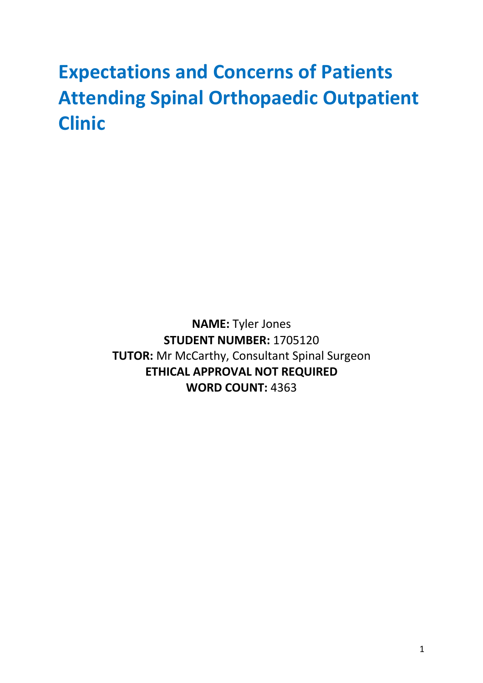# **Expectations and Concerns of Patients Attending Spinal Orthopaedic Outpatient Clinic**

**NAME:** Tyler Jones **STUDENT NUMBER:** 1705120 **TUTOR:** Mr McCarthy, Consultant Spinal Surgeon **ETHICAL APPROVAL NOT REQUIRED WORD COUNT:** 4363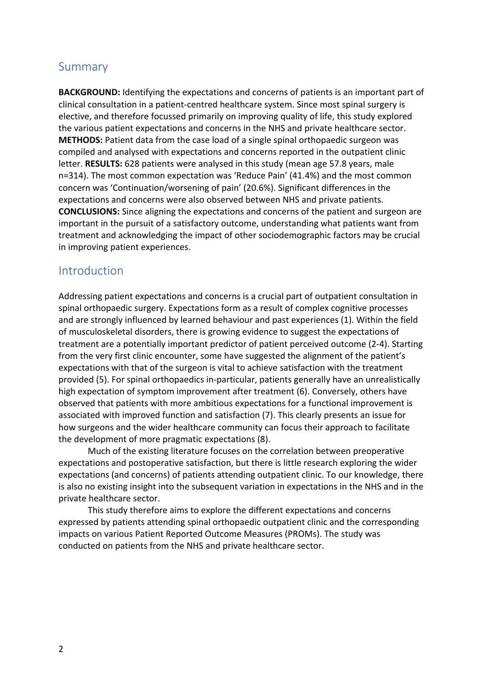# Summary

**BACKGROUND:** Identifying the expectations and concerns of patients is an important part of clinical consultation in a patient-centred healthcare system. Since most spinal surgery is elective, and therefore focussed primarily on improving quality of life, this study explored the various patient expectations and concerns in the NHS and private healthcare sector. **METHODS:** Patient data from the case load of a single spinal orthopaedic surgeon was compiled and analysed with expectations and concerns reported in the outpatient clinic letter. **RESULTS:** 628 patients were analysed in this study (mean age 57.8 years, male n=314). The most common expectation was 'Reduce Pain' (41.4%) and the most common concern was 'Continuation/worsening of pain' (20.6%). Significant differences in the expectations and concerns were also observed between NHS and private patients. **CONCLUSIONS:** Since aligning the expectations and concerns of the patient and surgeon are important in the pursuit of a satisfactory outcome, understanding what patients want from treatment and acknowledging the impact of other sociodemographic factors may be crucial in improving patient experiences.

## Introduction

Addressing patient expectations and concerns is a crucial part of outpatient consultation in spinal orthopaedic surgery. Expectations form as a result of complex cognitive processes and are strongly influenced by learned behaviour and past experiences (1). Within the field of musculoskeletal disorders, there is growing evidence to suggest the expectations of treatment are a potentially important predictor of patient perceived outcome (2-4). Starting from the very first clinic encounter, some have suggested the alignment of the patient's expectations with that of the surgeon is vital to achieve satisfaction with the treatment provided (5). For spinal orthopaedics in-particular, patients generally have an unrealistically high expectation of symptom improvement after treatment (6). Conversely, others have observed that patients with more ambitious expectations for a functional improvement is associated with improved function and satisfaction (7). This clearly presents an issue for how surgeons and the wider healthcare community can focus their approach to facilitate the development of more pragmatic expectations (8).

Much of the existing literature focuses on the correlation between preoperative expectations and postoperative satisfaction, but there is little research exploring the wider expectations (and concerns) of patients attending outpatient clinic. To our knowledge, there is also no existing insight into the subsequent variation in expectations in the NHS and in the private healthcare sector.

This study therefore aims to explore the different expectations and concerns expressed by patients attending spinal orthopaedic outpatient clinic and the corresponding impacts on various Patient Reported Outcome Measures (PROMs). The study was conducted on patients from the NHS and private healthcare sector.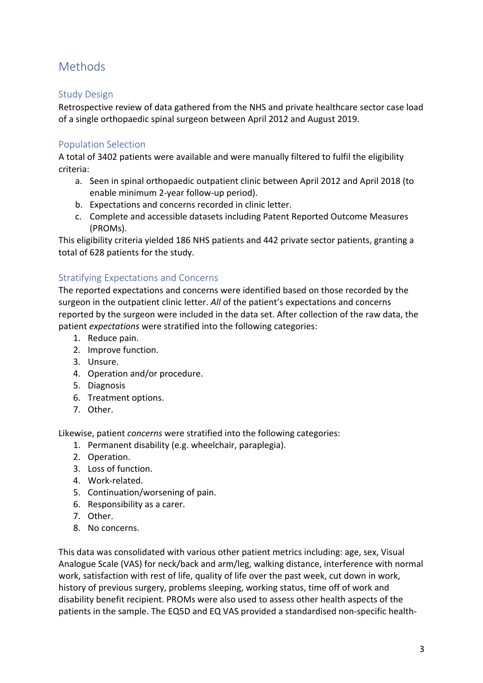# **Methods**

## Study Design

Retrospective review of data gathered from the NHS and private healthcare sector case load of a single orthopaedic spinal surgeon between April 2012 and August 2019.

### Population Selection

A total of 3402 patients were available and were manually filtered to fulfil the eligibility criteria:

- a. Seen in spinal orthopaedic outpatient clinic between April 2012 and April 2018 (to enable minimum 2-year follow-up period).
- b. Expectations and concerns recorded in clinic letter.
- c. Complete and accessible datasets including Patent Reported Outcome Measures (PROMs).

This eligibility criteria yielded 186 NHS patients and 442 private sector patients, granting a total of 628 patients for the study.

# Stratifying Expectations and Concerns

The reported expectations and concerns were identified based on those recorded by the surgeon in the outpatient clinic letter. *All* of the patient's expectations and concerns reported by the surgeon were included in the data set. After collection of the raw data, the patient *expectations* were stratified into the following categories:

- 1. Reduce pain.
- 2. Improve function.
- 3. Unsure.
- 4. Operation and/or procedure.
- 5. Diagnosis
- 6. Treatment options.
- 7. Other.

Likewise, patient *concerns* were stratified into the following categories:

- 1. Permanent disability (e.g. wheelchair, paraplegia).
- 2. Operation.
- 3. Loss of function.
- 4. Work-related.
- 5. Continuation/worsening of pain.
- 6. Responsibility as a carer.
- 7. Other.
- 8. No concerns.

This data was consolidated with various other patient metrics including: age, sex, Visual Analogue Scale (VAS) for neck/back and arm/leg, walking distance, interference with normal work, satisfaction with rest of life, quality of life over the past week, cut down in work, history of previous surgery, problems sleeping, working status, time off of work and disability benefit recipient. PROMs were also used to assess other health aspects of the patients in the sample. The EQ5D and EQ VAS provided a standardised non-specific health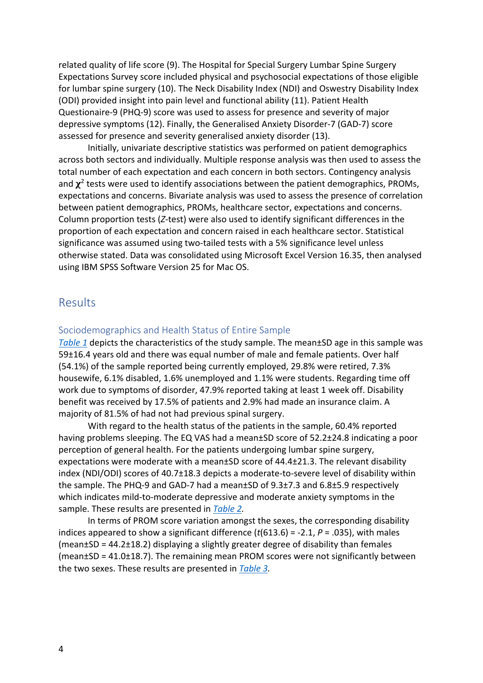related quality of life score (9). The Hospital for Special Surgery Lumbar Spine Surgery Expectations Survey score included physical and psychosocial expectations of those eligible for lumbar spine surgery (10). The Neck Disability Index (NDI) and Oswestry Disability Index (ODI) provided insight into pain level and functional ability (11). Patient Health Questionaire-9 (PHQ-9) score was used to assess for presence and severity of major depressive symptoms (12). Finally, the Generalised Anxiety Disorder-7 (GAD-7) score assessed for presence and severity generalised anxiety disorder (13).

Initially, univariate descriptive statistics was performed on patient demographics across both sectors and individually. Multiple response analysis was then used to assess the total number of each expectation and each concern in both sectors. Contingency analysis and  $\chi^2$  tests were used to identify associations between the patient demographics, PROMs, expectations and concerns. Bivariate analysis was used to assess the presence of correlation between patient demographics, PROMs, healthcare sector, expectations and concerns. Column proportion tests (*Z*-test) were also used to identify significant differences in the proportion of each expectation and concern raised in each healthcare sector. Statistical significance was assumed using two-tailed tests with a 5% significance level unless otherwise stated. Data was consolidated using Microsoft Excel Version 16.35, then analysed using IBM SPSS Software Version 25 for Mac OS.

# Results

### Sociodemographics and Health Status of Entire Sample

*Table 1* depicts the characteristics of the study sample. The mean±SD age in this sample was 59±16.4 years old and there was equal number of male and female patients. Over half (54.1%) of the sample reported being currently employed, 29.8% were retired, 7.3% housewife, 6.1% disabled, 1.6% unemployed and 1.1% were students. Regarding time off work due to symptoms of disorder, 47.9% reported taking at least 1 week off. Disability benefit was received by 17.5% of patients and 2.9% had made an insurance claim. A majority of 81.5% of had not had previous spinal surgery.

With regard to the health status of the patients in the sample, 60.4% reported having problems sleeping. The EQ VAS had a mean±SD score of 52.2±24.8 indicating a poor perception of general health. For the patients undergoing lumbar spine surgery, expectations were moderate with a mean±SD score of 44.4±21.3. The relevant disability index (NDI/ODI) scores of 40.7±18.3 depicts a moderate-to-severe level of disability within the sample. The PHQ-9 and GAD-7 had a mean±SD of 9.3±7.3 and 6.8±5.9 respectively which indicates mild-to-moderate depressive and moderate anxiety symptoms in the sample. These results are presented in *Table 2.*

In terms of PROM score variation amongst the sexes, the corresponding disability indices appeared to show a significant difference  $(t(613.6) = -2.1, P = .035)$ , with males (mean±SD = 44.2±18.2) displaying a slightly greater degree of disability than females (mean±SD = 41.0±18.7). The remaining mean PROM scores were not significantly between the two sexes. These results are presented in *Table 3.*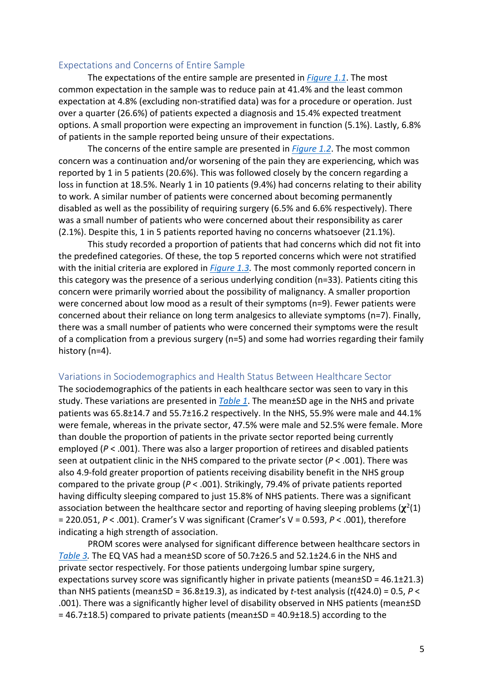#### Expectations and Concerns of Entire Sample

The expectations of the entire sample are presented in *Figure 1.1*. The most common expectation in the sample was to reduce pain at 41.4% and the least common expectation at 4.8% (excluding non-stratified data) was for a procedure or operation. Just over a quarter (26.6%) of patients expected a diagnosis and 15.4% expected treatment options. A small proportion were expecting an improvement in function (5.1%). Lastly, 6.8% of patients in the sample reported being unsure of their expectations.

The concerns of the entire sample are presented in *Figure 1.2*. The most common concern was a continuation and/or worsening of the pain they are experiencing, which was reported by 1 in 5 patients (20.6%). This was followed closely by the concern regarding a loss in function at 18.5%. Nearly 1 in 10 patients (9.4%) had concerns relating to their ability to work. A similar number of patients were concerned about becoming permanently disabled as well as the possibility of requiring surgery (6.5% and 6.6% respectively). There was a small number of patients who were concerned about their responsibility as carer (2.1%). Despite this, 1 in 5 patients reported having no concerns whatsoever (21.1%).

This study recorded a proportion of patients that had concerns which did not fit into the predefined categories. Of these, the top 5 reported concerns which were not stratified with the initial criteria are explored in *Figure 1.3.* The most commonly reported concern in this category was the presence of a serious underlying condition (n=33). Patients citing this concern were primarily worried about the possibility of malignancy. A smaller proportion were concerned about low mood as a result of their symptoms (n=9). Fewer patients were concerned about their reliance on long term analgesics to alleviate symptoms (n=7). Finally, there was a small number of patients who were concerned their symptoms were the result of a complication from a previous surgery (n=5) and some had worries regarding their family history (n=4).

#### Variations in Sociodemographics and Health Status Between Healthcare Sector

The sociodemographics of the patients in each healthcare sector was seen to vary in this study. These variations are presented in *Table 1*. The mean±SD age in the NHS and private patients was 65.8±14.7 and 55.7±16.2 respectively. In the NHS, 55.9% were male and 44.1% were female, whereas in the private sector, 47.5% were male and 52.5% were female. More than double the proportion of patients in the private sector reported being currently employed (*P* < .001). There was also a larger proportion of retirees and disabled patients seen at outpatient clinic in the NHS compared to the private sector (*P* < .001). There was also 4.9-fold greater proportion of patients receiving disability benefit in the NHS group compared to the private group (*P* < .001). Strikingly, 79.4% of private patients reported having difficulty sleeping compared to just 15.8% of NHS patients. There was a significant association between the healthcare sector and reporting of having sleeping problems  $(\chi^2(1))$ = 220.051, *P* < .001). Cramer's V was significant (Cramer's V = 0.593, *P* < .001), therefore indicating a high strength of association.

PROM scores were analysed for significant difference between healthcare sectors in *Table 3.* The EQ VAS had a mean±SD score of 50.7±26.5 and 52.1±24.6 in the NHS and private sector respectively. For those patients undergoing lumbar spine surgery, expectations survey score was significantly higher in private patients (mean $\pm$ SD = 46.1 $\pm$ 21.3) than NHS patients (mean±SD = 36.8±19.3), as indicated by *t*-test analysis (*t*(424.0) = 0.5, *P* < .001). There was a significantly higher level of disability observed in NHS patients (mean±SD  $= 46.7\pm18.5$ ) compared to private patients (mean $\pm$ SD = 40.9 $\pm$ 18.5) according to the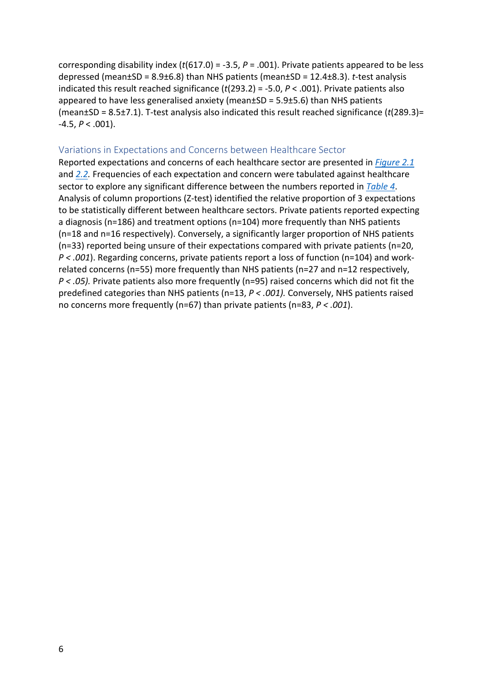corresponding disability index (*t*(617.0) = -3.5, *P* = .001). Private patients appeared to be less depressed (mean±SD = 8.9±6.8) than NHS patients (mean±SD = 12.4±8.3). *t*-test analysis indicated this result reached significance (*t*(293.2) = -5.0, *P* < .001). Private patients also appeared to have less generalised anxiety (mean±SD = 5.9±5.6) than NHS patients (mean±SD = 8.5±7.1). T-test analysis also indicated this result reached significance (*t*(289.3)=  $-4.5, P < .001$ ).

#### Variations in Expectations and Concerns between Healthcare Sector

Reported expectations and concerns of each healthcare sector are presented in *Figure 2.1* and *2.2.* Frequencies of each expectation and concern were tabulated against healthcare sector to explore any significant difference between the numbers reported in *Table 4*. Analysis of column proportions (Z-test) identified the relative proportion of 3 expectations to be statistically different between healthcare sectors. Private patients reported expecting a diagnosis (n=186) and treatment options (n=104) more frequently than NHS patients (n=18 and n=16 respectively). Conversely, a significantly larger proportion of NHS patients (n=33) reported being unsure of their expectations compared with private patients (n=20, *P < .001*). Regarding concerns, private patients report a loss of function (n=104) and workrelated concerns (n=55) more frequently than NHS patients (n=27 and n=12 respectively, *P < .05).* Private patients also more frequently (n=95) raised concerns which did not fit the predefined categories than NHS patients (n=13, *P < .001).* Conversely, NHS patients raised no concerns more frequently (n=67) than private patients (n=83, *P < .001*).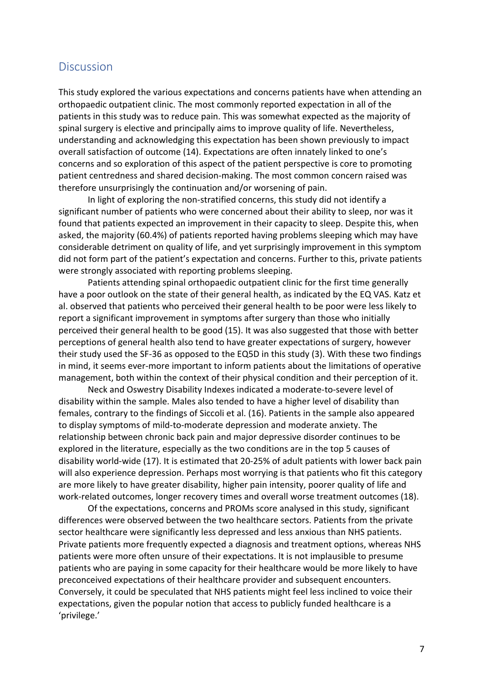# **Discussion**

This study explored the various expectations and concerns patients have when attending an orthopaedic outpatient clinic. The most commonly reported expectation in all of the patients in this study was to reduce pain. This was somewhat expected as the majority of spinal surgery is elective and principally aims to improve quality of life. Nevertheless, understanding and acknowledging this expectation has been shown previously to impact overall satisfaction of outcome (14). Expectations are often innately linked to one's concerns and so exploration of this aspect of the patient perspective is core to promoting patient centredness and shared decision-making. The most common concern raised was therefore unsurprisingly the continuation and/or worsening of pain.

In light of exploring the non-stratified concerns, this study did not identify a significant number of patients who were concerned about their ability to sleep, nor was it found that patients expected an improvement in their capacity to sleep. Despite this, when asked, the majority (60.4%) of patients reported having problems sleeping which may have considerable detriment on quality of life, and yet surprisingly improvement in this symptom did not form part of the patient's expectation and concerns. Further to this, private patients were strongly associated with reporting problems sleeping.

Patients attending spinal orthopaedic outpatient clinic for the first time generally have a poor outlook on the state of their general health, as indicated by the EQ VAS. Katz et al. observed that patients who perceived their general health to be poor were less likely to report a significant improvement in symptoms after surgery than those who initially perceived their general health to be good (15). It was also suggested that those with better perceptions of general health also tend to have greater expectations of surgery, however their study used the SF-36 as opposed to the EQ5D in this study (3). With these two findings in mind, it seems ever-more important to inform patients about the limitations of operative management, both within the context of their physical condition and their perception of it.

Neck and Oswestry Disability Indexes indicated a moderate-to-severe level of disability within the sample. Males also tended to have a higher level of disability than females, contrary to the findings of Siccoli et al. (16). Patients in the sample also appeared to display symptoms of mild-to-moderate depression and moderate anxiety. The relationship between chronic back pain and major depressive disorder continues to be explored in the literature, especially as the two conditions are in the top 5 causes of disability world-wide (17). It is estimated that 20-25% of adult patients with lower back pain will also experience depression. Perhaps most worrying is that patients who fit this category are more likely to have greater disability, higher pain intensity, poorer quality of life and work-related outcomes, longer recovery times and overall worse treatment outcomes (18).

Of the expectations, concerns and PROMs score analysed in this study, significant differences were observed between the two healthcare sectors. Patients from the private sector healthcare were significantly less depressed and less anxious than NHS patients. Private patients more frequently expected a diagnosis and treatment options, whereas NHS patients were more often unsure of their expectations. It is not implausible to presume patients who are paying in some capacity for their healthcare would be more likely to have preconceived expectations of their healthcare provider and subsequent encounters. Conversely, it could be speculated that NHS patients might feel less inclined to voice their expectations, given the popular notion that access to publicly funded healthcare is a 'privilege.'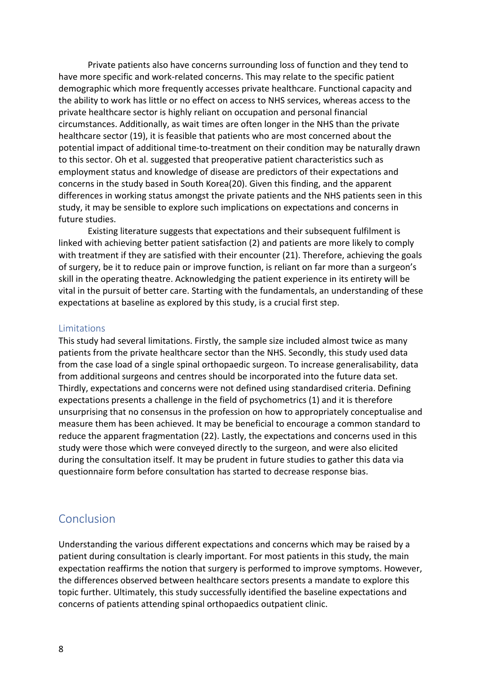Private patients also have concerns surrounding loss of function and they tend to have more specific and work-related concerns. This may relate to the specific patient demographic which more frequently accesses private healthcare. Functional capacity and the ability to work has little or no effect on access to NHS services, whereas access to the private healthcare sector is highly reliant on occupation and personal financial circumstances. Additionally, as wait times are often longer in the NHS than the private healthcare sector (19), it is feasible that patients who are most concerned about the potential impact of additional time-to-treatment on their condition may be naturally drawn to this sector. Oh et al. suggested that preoperative patient characteristics such as employment status and knowledge of disease are predictors of their expectations and concerns in the study based in South Korea(20). Given this finding, and the apparent differences in working status amongst the private patients and the NHS patients seen in this study, it may be sensible to explore such implications on expectations and concerns in future studies.

Existing literature suggests that expectations and their subsequent fulfilment is linked with achieving better patient satisfaction (2) and patients are more likely to comply with treatment if they are satisfied with their encounter (21). Therefore, achieving the goals of surgery, be it to reduce pain or improve function, is reliant on far more than a surgeon's skill in the operating theatre. Acknowledging the patient experience in its entirety will be vital in the pursuit of better care. Starting with the fundamentals, an understanding of these expectations at baseline as explored by this study, is a crucial first step.

#### Limitations

This study had several limitations. Firstly, the sample size included almost twice as many patients from the private healthcare sector than the NHS. Secondly, this study used data from the case load of a single spinal orthopaedic surgeon. To increase generalisability, data from additional surgeons and centres should be incorporated into the future data set. Thirdly, expectations and concerns were not defined using standardised criteria. Defining expectations presents a challenge in the field of psychometrics (1) and it is therefore unsurprising that no consensus in the profession on how to appropriately conceptualise and measure them has been achieved. It may be beneficial to encourage a common standard to reduce the apparent fragmentation (22). Lastly, the expectations and concerns used in this study were those which were conveyed directly to the surgeon, and were also elicited during the consultation itself. It may be prudent in future studies to gather this data via questionnaire form before consultation has started to decrease response bias.

## Conclusion

Understanding the various different expectations and concerns which may be raised by a patient during consultation is clearly important. For most patients in this study, the main expectation reaffirms the notion that surgery is performed to improve symptoms. However, the differences observed between healthcare sectors presents a mandate to explore this topic further. Ultimately, this study successfully identified the baseline expectations and concerns of patients attending spinal orthopaedics outpatient clinic.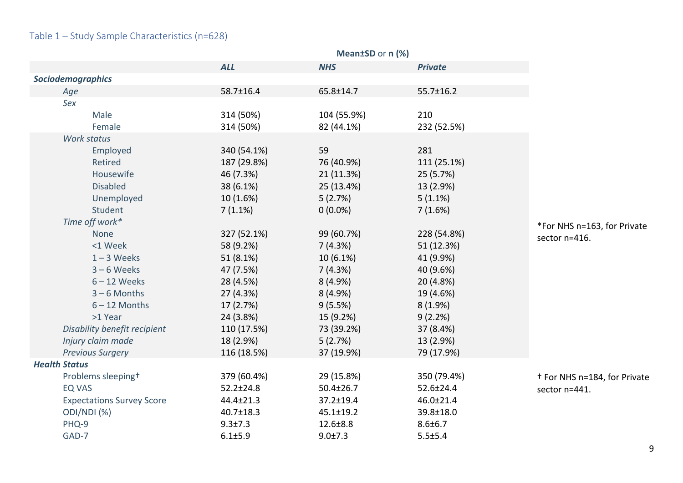# Table 1 – Study Sample Characteristics (n=628)

|                          |                                  | <b>ALL</b>      | <b>NHS</b>     | <b>Private</b>  |                                         |
|--------------------------|----------------------------------|-----------------|----------------|-----------------|-----------------------------------------|
| <b>Sociodemographics</b> |                                  |                 |                |                 |                                         |
| Age                      |                                  | 58.7±16.4       | 65.8±14.7      | $55.7 \pm 16.2$ |                                         |
| Sex                      |                                  |                 |                |                 |                                         |
|                          | Male                             | 314 (50%)       | 104 (55.9%)    | 210             |                                         |
|                          | Female                           | 314 (50%)       | 82 (44.1%)     | 232 (52.5%)     |                                         |
|                          | Work status                      |                 |                |                 |                                         |
|                          | Employed                         | 340 (54.1%)     | 59             | 281             |                                         |
|                          | Retired                          | 187 (29.8%)     | 76 (40.9%)     | 111 (25.1%)     |                                         |
|                          | Housewife                        | 46 (7.3%)       | 21 (11.3%)     | 25 (5.7%)       |                                         |
|                          | <b>Disabled</b>                  | 38 (6.1%)       | 25 (13.4%)     | 13 (2.9%)       |                                         |
|                          | Unemployed                       | 10 (1.6%)       | 5(2.7%)        | $5(1.1\%)$      |                                         |
|                          | Student                          | $7(1.1\%)$      | $0(0.0\%)$     | 7(1.6%)         |                                         |
|                          | Time off work*                   |                 |                |                 | *For NHS n=163, for Private             |
|                          | None                             | 327 (52.1%)     | 99 (60.7%)     | 228 (54.8%)     | sector n=416.                           |
|                          | <1 Week                          | 58 (9.2%)       | 7(4.3%)        | 51 (12.3%)      |                                         |
|                          | $1 - 3$ Weeks                    | 51 (8.1%)       | $10(6.1\%)$    | 41 (9.9%)       |                                         |
|                          | $3 - 6$ Weeks                    | 47 (7.5%)       | 7(4.3%)        | 40 (9.6%)       |                                         |
|                          | $6 - 12$ Weeks                   | 28 (4.5%)       | 8(4.9%)        | 20 (4.8%)       |                                         |
|                          | $3 - 6$ Months                   | 27 (4.3%)       | 8 (4.9%)       | 19 (4.6%)       |                                         |
|                          | $6 - 12$ Months                  | 17 (2.7%)       | 9(5.5%)        | $8(1.9\%)$      |                                         |
|                          | >1 Year                          | 24 (3.8%)       | 15 (9.2%)      | 9(2.2%)         |                                         |
|                          | Disability benefit recipient     | 110 (17.5%)     | 73 (39.2%)     | 37 (8.4%)       |                                         |
|                          | Injury claim made                | 18 (2.9%)       | 5(2.7%)        | 13 (2.9%)       |                                         |
|                          | <b>Previous Surgery</b>          | 116 (18.5%)     | 37 (19.9%)     | 79 (17.9%)      |                                         |
| <b>Health Status</b>     |                                  |                 |                |                 |                                         |
|                          | Problems sleeping <sup>+</sup>   | 379 (60.4%)     | 29 (15.8%)     | 350 (79.4%)     | <sup>+</sup> For NHS n=184, for Private |
| <b>EQ VAS</b>            |                                  | $52.2 \pm 24.8$ | 50.4±26.7      | 52.6±24.4       | sector n=441.                           |
|                          | <b>Expectations Survey Score</b> | 44.4±21.3       | 37.2±19.4      | 46.0±21.4       |                                         |
|                          | ODI/NDI (%)                      | 40.7±18.3       | 45.1±19.2      | 39.8±18.0       |                                         |
| PHQ-9                    |                                  | $9.3 \pm 7.3$   | $12.6 \pm 8.8$ | $8.6 \pm 6.7$   |                                         |
| GAD-7                    |                                  | $6.1 \pm 5.9$   | 9.0±7.3        | 5.5±5.4         |                                         |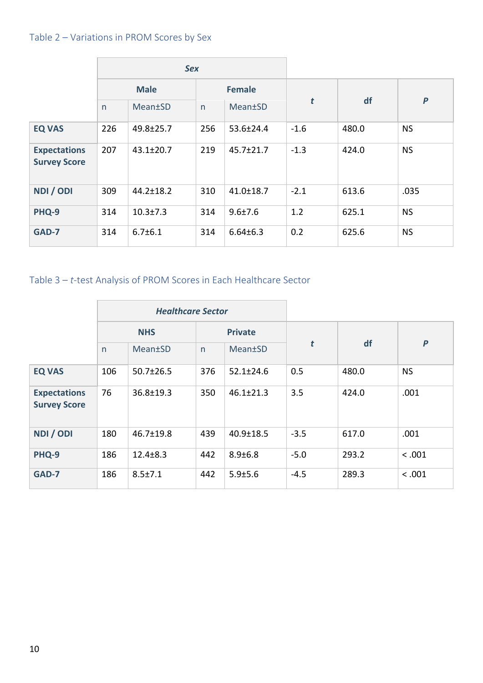# Table 2 – Variations in PROM Scores by Sex

|                                            | <b>Sex</b>  |                 |               |                 |                  |       |           |
|--------------------------------------------|-------------|-----------------|---------------|-----------------|------------------|-------|-----------|
|                                            | <b>Male</b> |                 | <b>Female</b> |                 |                  |       |           |
|                                            | n           | Mean±SD         | n             | Mean±SD         | $\boldsymbol{t}$ | df    | $\pmb{P}$ |
| <b>EQ VAS</b>                              | 226         | 49.8±25.7       | 256           | 53.6±24.4       | $-1.6$           | 480.0 | <b>NS</b> |
| <b>Expectations</b><br><b>Survey Score</b> | 207         | $43.1 \pm 20.7$ | 219           | 45.7±21.7       | $-1.3$           | 424.0 | <b>NS</b> |
| NDI / ODI                                  | 309         | $44.2 \pm 18.2$ | 310           | $41.0 \pm 18.7$ | $-2.1$           | 613.6 | .035      |
| PHQ-9                                      | 314         | $10.3 \pm 7.3$  | 314           | $9.6 \pm 7.6$   | 1.2              | 625.1 | <b>NS</b> |
| GAD-7                                      | 314         | $6.7 \pm 6.1$   | 314           | $6.64 \pm 6.3$  | 0.2              | 625.6 | <b>NS</b> |

# Table 3 – *t*-test Analysis of PROM Scores in Each Healthcare Sector

|                                            | <b>Healthcare Sector</b> |                 |                |                 |        |       |                  |
|--------------------------------------------|--------------------------|-----------------|----------------|-----------------|--------|-------|------------------|
|                                            | <b>NHS</b>               |                 | <b>Private</b> |                 |        |       |                  |
|                                            | n                        | Mean±SD         | n              | Mean±SD         | t      | df    | $\boldsymbol{P}$ |
| <b>EQ VAS</b>                              | 106                      | $50.7 \pm 26.5$ | 376            | $52.1 \pm 24.6$ | 0.5    | 480.0 | <b>NS</b>        |
| <b>Expectations</b><br><b>Survey Score</b> | 76                       | 36.8±19.3       | 350            | $46.1 \pm 21.3$ | 3.5    | 424.0 | .001             |
| NDI / ODI                                  | 180                      | 46.7±19.8       | 439            | $40.9 \pm 18.5$ | $-3.5$ | 617.0 | .001             |
| PHQ-9                                      | 186                      | $12.4 \pm 8.3$  | 442            | $8.9 \pm 6.8$   | $-5.0$ | 293.2 | < .001           |
| GAD-7                                      | 186                      | $8.5 \pm 7.1$   | 442            | 5.9±5.6         | $-4.5$ | 289.3 | < .001           |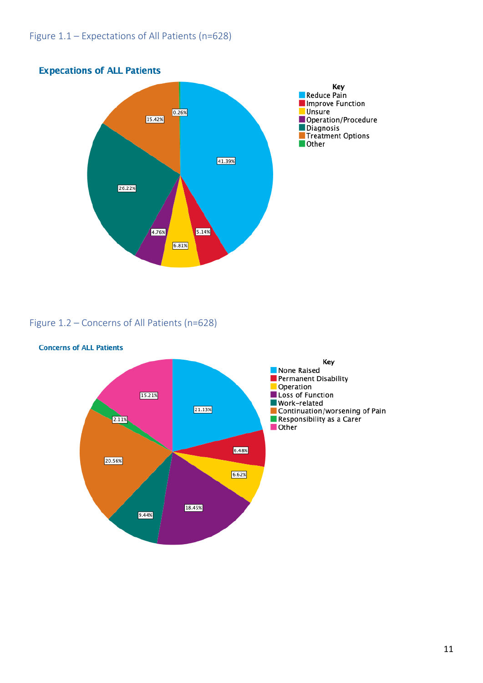

# **Expecations of ALL Patients**

# Figure 1.2 – Concerns of All Patients (n=628)



#### **Concerns of ALL Patients**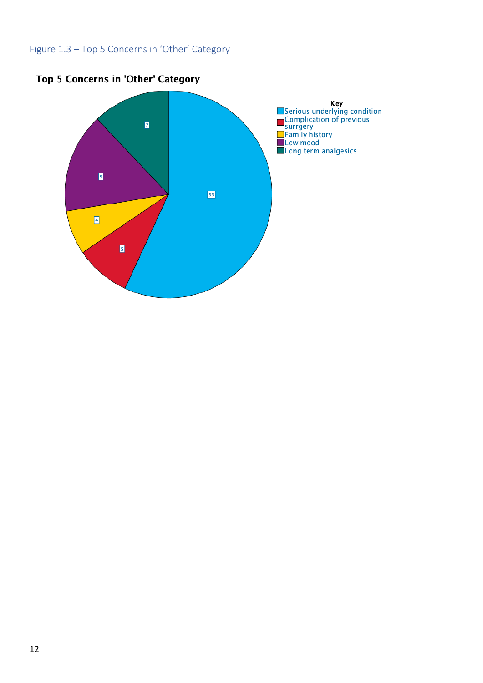# Figure 1.3 – Top 5 Concerns in 'Other' Category



# Top 5 Concerns in 'Other' Category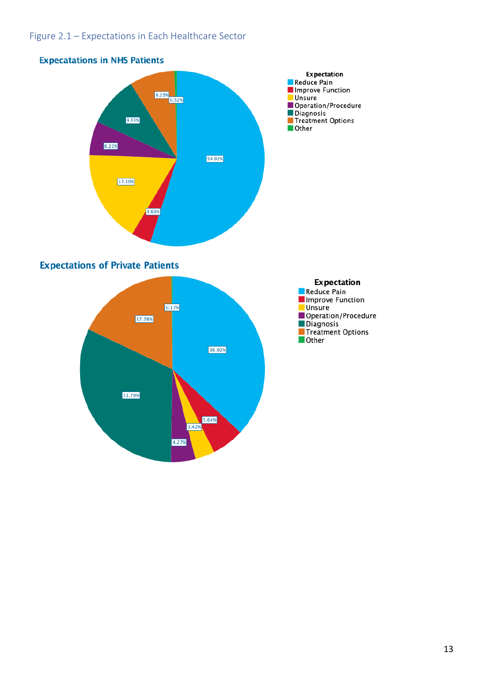# Figure 2.1 – Expectations in Each Healthcare Sector



## **Expectations of Private Patients**



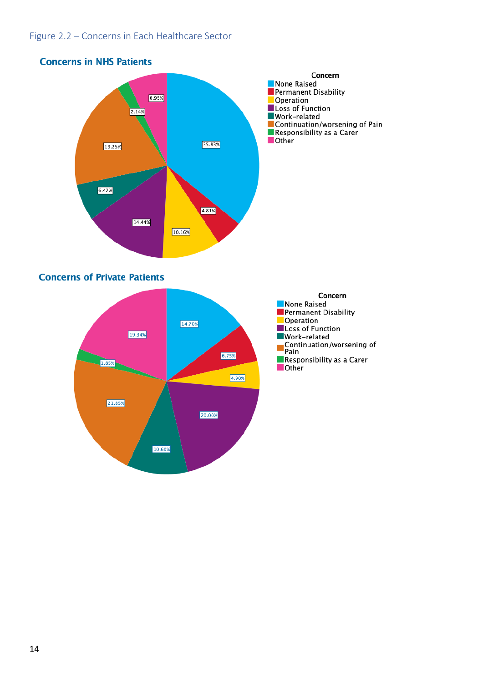# Figure 2.2 – Concerns in Each Healthcare Sector

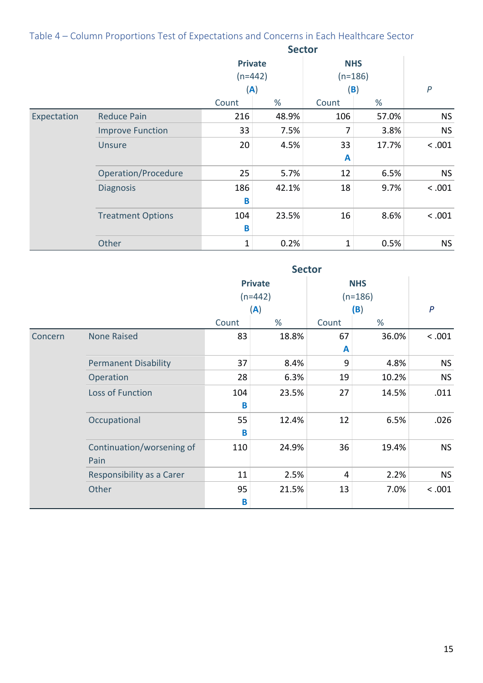# Table 4 – Column Proportions Test of Expectations and Concerns in Each Healthcare Sector

|             |                          | <b>Sector</b>                      |       |                                |       |                  |
|-------------|--------------------------|------------------------------------|-------|--------------------------------|-------|------------------|
|             |                          | <b>Private</b><br>$(n=442)$<br>(A) |       | <b>NHS</b><br>$(n=186)$<br>(B) |       | $\boldsymbol{P}$ |
|             |                          | Count                              | %     | %<br>Count                     |       |                  |
| Expectation | <b>Reduce Pain</b>       | 216                                | 48.9% | 106                            | 57.0% | <b>NS</b>        |
|             | <b>Improve Function</b>  | 33                                 | 7.5%  | 7                              | 3.8%  | <b>NS</b>        |
|             | <b>Unsure</b>            | 20                                 | 4.5%  | 33<br>A                        | 17.7% | < .001           |
|             | Operation/Procedure      | 25                                 | 5.7%  | 12                             | 6.5%  | <b>NS</b>        |
|             | <b>Diagnosis</b>         | 186<br>B                           | 42.1% | 18                             | 9.7%  | < .001           |
|             | <b>Treatment Options</b> | 104<br>B                           | 23.5% | 16                             | 8.6%  | < .001           |
|             | Other                    | $\mathbf 1$                        | 0.2%  | 1                              | 0.5%  | <b>NS</b>        |

|         |                             | <b>Sector</b> |                |            |       |                  |
|---------|-----------------------------|---------------|----------------|------------|-------|------------------|
|         |                             |               | <b>Private</b> | <b>NHS</b> |       |                  |
|         |                             | $(n=442)$     |                | $(n=186)$  |       |                  |
|         |                             | (A)           |                | (B)        |       | $\boldsymbol{P}$ |
|         |                             | Count         | %              | Count      | %     |                  |
| Concern | <b>None Raised</b>          | 83            | 18.8%          | 67         | 36.0% | < .001           |
|         |                             |               |                | A          |       |                  |
|         | <b>Permanent Disability</b> | 37            | 8.4%           | 9          | 4.8%  | <b>NS</b>        |
|         | Operation                   | 28            | 6.3%           | 19         | 10.2% | <b>NS</b>        |
|         | Loss of Function            | 104           | 23.5%          | 27         | 14.5% | .011             |
|         |                             | B             |                |            |       |                  |
|         | Occupational                | 55            | 12.4%          | 12         | 6.5%  | .026             |
|         |                             | B             |                |            |       |                  |
|         | Continuation/worsening of   | 110           | 24.9%          | 36         | 19.4% | <b>NS</b>        |
|         | Pain                        |               |                |            |       |                  |
|         | Responsibility as a Carer   | 11            | 2.5%           | 4          | 2.2%  | <b>NS</b>        |
|         | Other                       | 95            | 21.5%          | 13         | 7.0%  | < .001           |
|         |                             | B             |                |            |       |                  |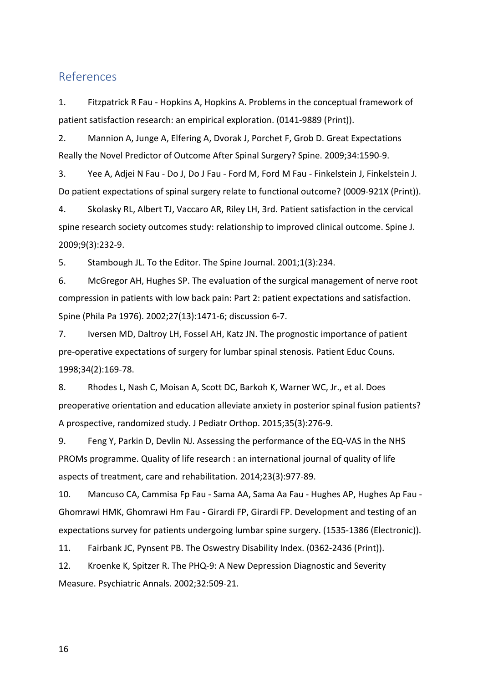# References

1. Fitzpatrick R Fau - Hopkins A, Hopkins A. Problems in the conceptual framework of patient satisfaction research: an empirical exploration. (0141-9889 (Print)).

2. Mannion A, Junge A, Elfering A, Dvorak J, Porchet F, Grob D. Great Expectations Really the Novel Predictor of Outcome After Spinal Surgery? Spine. 2009;34:1590-9.

3. Yee A, Adjei N Fau - Do J, Do J Fau - Ford M, Ford M Fau - Finkelstein J, Finkelstein J. Do patient expectations of spinal surgery relate to functional outcome? (0009-921X (Print)).

4. Skolasky RL, Albert TJ, Vaccaro AR, Riley LH, 3rd. Patient satisfaction in the cervical spine research society outcomes study: relationship to improved clinical outcome. Spine J. 2009;9(3):232-9.

5. Stambough JL. To the Editor. The Spine Journal. 2001;1(3):234.

6. McGregor AH, Hughes SP. The evaluation of the surgical management of nerve root compression in patients with low back pain: Part 2: patient expectations and satisfaction. Spine (Phila Pa 1976). 2002;27(13):1471-6; discussion 6-7.

7. Iversen MD, Daltroy LH, Fossel AH, Katz JN. The prognostic importance of patient pre-operative expectations of surgery for lumbar spinal stenosis. Patient Educ Couns. 1998;34(2):169-78.

8. Rhodes L, Nash C, Moisan A, Scott DC, Barkoh K, Warner WC, Jr., et al. Does preoperative orientation and education alleviate anxiety in posterior spinal fusion patients? A prospective, randomized study. J Pediatr Orthop. 2015;35(3):276-9.

9. Feng Y, Parkin D, Devlin NJ. Assessing the performance of the EQ-VAS in the NHS PROMs programme. Quality of life research : an international journal of quality of life aspects of treatment, care and rehabilitation. 2014;23(3):977-89.

10. Mancuso CA, Cammisa Fp Fau - Sama AA, Sama Aa Fau - Hughes AP, Hughes Ap Fau - Ghomrawi HMK, Ghomrawi Hm Fau - Girardi FP, Girardi FP. Development and testing of an expectations survey for patients undergoing lumbar spine surgery. (1535-1386 (Electronic)).

11. Fairbank JC, Pynsent PB. The Oswestry Disability Index. (0362-2436 (Print)).

12. Kroenke K, Spitzer R. The PHQ-9: A New Depression Diagnostic and Severity Measure. Psychiatric Annals. 2002;32:509-21.

16